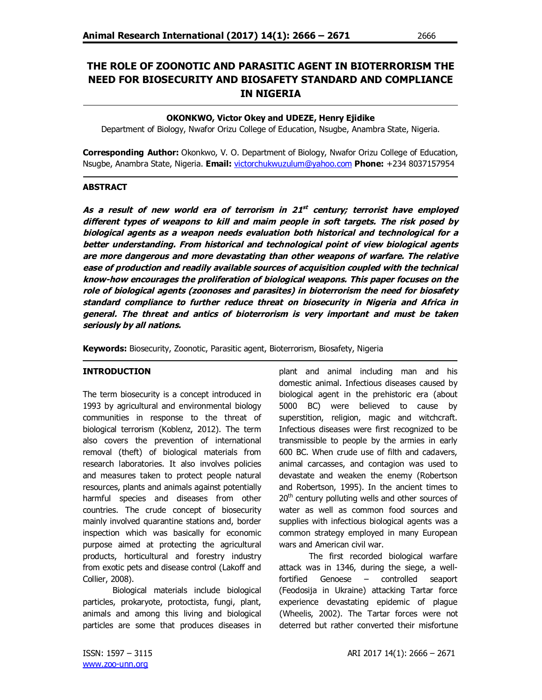# **THE ROLE OF ZOONOTIC AND PARASITIC AGENT IN BIOTERRORISM THE NEED FOR BIOSECURITY AND BIOSAFETY STANDARD AND COMPLIANCE IN NIGERIA**

## **OKONKWO, Victor Okey and UDEZE, Henry Ejidike**

Department of Biology, Nwafor Orizu College of Education, Nsugbe, Anambra State, Nigeria.

**Corresponding Author:** Okonkwo, V. O. Department of Biology, Nwafor Orizu College of Education, Nsugbe, Anambra State, Nigeria. **Email:** victorchukwuzulum@yahoo.com **Phone:** +234 8037157954

#### **ABSTRACT**

i,

**As a result of new world era of terrorism in 21 st century; terrorist have employed different types of weapons to kill and maim people in soft targets. The risk posed by biological agents as a weapon needs evaluation both historical and technological for a better understanding. From historical and technological point of view biological agents are more dangerous and more devastating than other weapons of warfare. The relative ease of production and readily available sources of acquisition coupled with the technical know-how encourages the proliferation of biological weapons. This paper focuses on the role of biological agents (zoonoses and parasites) in bioterrorism the need for biosafety standard compliance to further reduce threat on biosecurity in Nigeria and Africa in general. The threat and antics of bioterrorism is very important and must be taken seriously by all nations.** 

**Keywords:** Biosecurity, Zoonotic, Parasitic agent, Bioterrorism, Biosafety, Nigeria

## **INTRODUCTION**

The term biosecurity is a concept introduced in 1993 by agricultural and environmental biology communities in response to the threat of biological terrorism (Koblenz, 2012). The term also covers the prevention of international removal (theft) of biological materials from research laboratories. It also involves policies and measures taken to protect people natural resources, plants and animals against potentially harmful species and diseases from other countries. The crude concept of biosecurity mainly involved quarantine stations and, border inspection which was basically for economic purpose aimed at protecting the agricultural products, horticultural and forestry industry from exotic pets and disease control (Lakoff and Collier, 2008).

Biological materials include biological particles, prokaryote, protoctista, fungi, plant, animals and among this living and biological particles are some that produces diseases in plant and animal including man and his domestic animal. Infectious diseases caused by biological agent in the prehistoric era (about 5000 BC) were believed to cause by superstition, religion, magic and witchcraft. Infectious diseases were first recognized to be transmissible to people by the armies in early 600 BC. When crude use of filth and cadavers, animal carcasses, and contagion was used to devastate and weaken the enemy (Robertson and Robertson, 1995). In the ancient times to  $20<sup>th</sup>$  century polluting wells and other sources of water as well as common food sources and supplies with infectious biological agents was a common strategy employed in many European wars and American civil war.

The first recorded biological warfare attack was in 1346, during the siege, a wellfortified Genoese – controlled seaport (Feodosija in Ukraine) attacking Tartar force experience devastating epidemic of plague (Wheelis, 2002). The Tartar forces were not deterred but rather converted their misfortune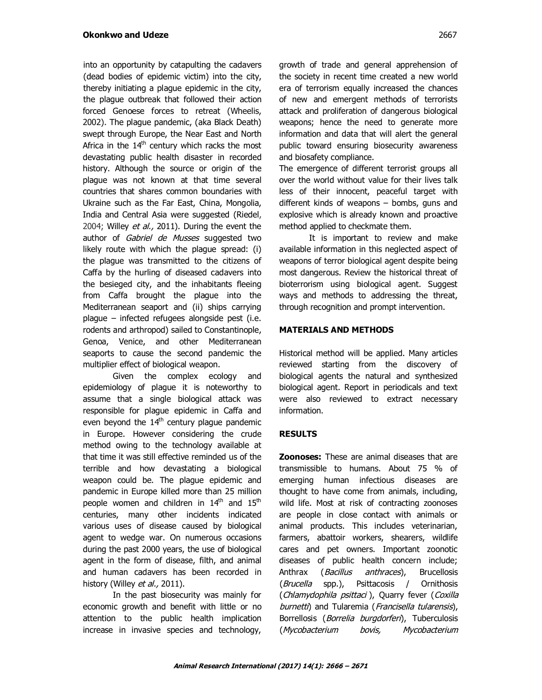into an opportunity by catapulting the cadavers (dead bodies of epidemic victim) into the city, thereby initiating a plague epidemic in the city, the plague outbreak that followed their action forced Genoese forces to retreat (Wheelis, 2002). The plague pandemic, (aka Black Death) swept through Europe, the Near East and North Africa in the  $14<sup>th</sup>$  century which racks the most devastating public health disaster in recorded history. Although the source or origin of the plague was not known at that time several countries that shares common boundaries with Ukraine such as the Far East, China, Mongolia, India and Central Asia were suggested (Riedel, 2004; Willey et al., 2011). During the event the author of Gabriel de Musses suggested two likely route with which the plague spread: (i) the plague was transmitted to the citizens of Caffa by the hurling of diseased cadavers into the besieged city, and the inhabitants fleeing from Caffa brought the plague into the Mediterranean seaport and (ii) ships carrying plague – infected refugees alongside pest (i.e. rodents and arthropod) sailed to Constantinople, Genoa, Venice, and other Mediterranean seaports to cause the second pandemic the multiplier effect of biological weapon.

Given the complex ecology and epidemiology of plague it is noteworthy to assume that a single biological attack was responsible for plague epidemic in Caffa and even beyond the  $14<sup>th</sup>$  century plague pandemic in Europe. However considering the crude method owing to the technology available at that time it was still effective reminded us of the terrible and how devastating a biological weapon could be. The plague epidemic and pandemic in Europe killed more than 25 million people women and children in 14<sup>th</sup> and 15<sup>th</sup> centuries, many other incidents indicated various uses of disease caused by biological agent to wedge war. On numerous occasions during the past 2000 years, the use of biological agent in the form of disease, filth, and animal and human cadavers has been recorded in history (Willey et al., 2011).

In the past biosecurity was mainly for economic growth and benefit with little or no attention to the public health implication increase in invasive species and technology,

growth of trade and general apprehension of the society in recent time created a new world era of terrorism equally increased the chances of new and emergent methods of terrorists attack and proliferation of dangerous biological weapons; hence the need to generate more information and data that will alert the general public toward ensuring biosecurity awareness and biosafety compliance.

The emergence of different terrorist groups all over the world without value for their lives talk less of their innocent, peaceful target with different kinds of weapons – bombs, guns and explosive which is already known and proactive method applied to checkmate them.

It is important to review and make available information in this neglected aspect of weapons of terror biological agent despite being most dangerous. Review the historical threat of bioterrorism using biological agent. Suggest ways and methods to addressing the threat, through recognition and prompt intervention.

## **MATERIALS AND METHODS**

Historical method will be applied. Many articles reviewed starting from the discovery of biological agents the natural and synthesized biological agent. Report in periodicals and text were also reviewed to extract necessary information.

# **RESULTS**

**Zoonoses:** These are animal diseases that are transmissible to humans. About 75 % of emerging human infectious diseases are thought to have come from animals, including, wild life. Most at risk of contracting zoonoses are people in close contact with animals or animal products. This includes veterinarian, farmers, abattoir workers, shearers, wildlife cares and pet owners. Important zoonotic diseases of public health concern include; Anthrax (*Bacillus anthraces*), Brucellosis (Brucella spp.), Psittacosis / Ornithosis (Chlamydophila psittaci), Quarry fever (Coxilla burnetti) and Tularemia (Francisella tularensis), Borrellosis (*Borrelia burgdorferi*), Tuberculosis (Mycobacterium bovis, Mycobacterium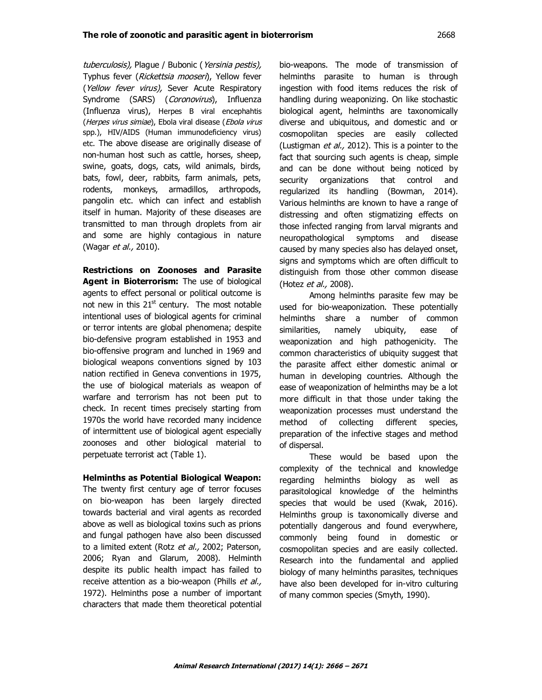tuberculosis), Plague / Bubonic (Yersinia pestis), Typhus fever (Rickettsia mooseri), Yellow fever (Yellow fever virus), Sever Acute Respiratory Syndrome (SARS) (Coronovirus), Influenza (Influenza virus), Herpes B viral encephahtis (Herpes virus simiae), Ebola viral disease (Ebola virus spp.), HIV/AIDS (Human immunodeficiency virus) etc. The above disease are originally disease of non-human host such as cattle, horses, sheep, swine, goats, dogs, cats, wild animals, birds, bats, fowl, deer, rabbits, farm animals, pets, rodents, monkeys, armadillos, arthropods, pangolin etc. which can infect and establish itself in human. Majority of these diseases are transmitted to man through droplets from air and some are highly contagious in nature (Wagar *et al.*, 2010).

**Restrictions on Zoonoses and Parasite Agent in Bioterrorism:** The use of biological agents to effect personal or political outcome is not new in this  $21<sup>st</sup>$  century. The most notable intentional uses of biological agents for criminal or terror intents are global phenomena; despite bio-defensive program established in 1953 and bio-offensive program and lunched in 1969 and biological weapons conventions signed by 103 nation rectified in Geneva conventions in 1975, the use of biological materials as weapon of warfare and terrorism has not been put to check. In recent times precisely starting from 1970s the world have recorded many incidence of intermittent use of biological agent especially zoonoses and other biological material to perpetuate terrorist act (Table 1).

## **Helminths as Potential Biological Weapon:**

The twenty first century age of terror focuses on bio-weapon has been largely directed towards bacterial and viral agents as recorded above as well as biological toxins such as prions and fungal pathogen have also been discussed to a limited extent (Rotz et al., 2002; Paterson, 2006; Ryan and Glarum, 2008). Helminth despite its public health impact has failed to receive attention as a bio-weapon (Phills et al., 1972). Helminths pose a number of important characters that made them theoretical potential bio-weapons. The mode of transmission of helminths parasite to human is through ingestion with food items reduces the risk of handling during weaponizing. On like stochastic biological agent, helminths are taxonomically diverse and ubiquitous, and domestic and or cosmopolitan species are easily collected (Lustigman et al., 2012). This is a pointer to the fact that sourcing such agents is cheap, simple and can be done without being noticed by security organizations that control and regularized its handling (Bowman, 2014). Various helminths are known to have a range of distressing and often stigmatizing effects on those infected ranging from larval migrants and neuropathological symptoms and disease caused by many species also has delayed onset, signs and symptoms which are often difficult to distinguish from those other common disease (Hotez et al., 2008).

Among helminths parasite few may be used for bio-weaponization. These potentially helminths share a number of common similarities, namely ubiquity, ease of weaponization and high pathogenicity. The common characteristics of ubiquity suggest that the parasite affect either domestic animal or human in developing countries. Although the ease of weaponization of helminths may be a lot more difficult in that those under taking the weaponization processes must understand the method of collecting different species, preparation of the infective stages and method of dispersal.

These would be based upon the complexity of the technical and knowledge regarding helminths biology as well as parasitological knowledge of the helminths species that would be used (Kwak, 2016). Helminths group is taxonomically diverse and potentially dangerous and found everywhere, commonly being found in domestic or cosmopolitan species and are easily collected. Research into the fundamental and applied biology of many helminths parasites, techniques have also been developed for in-vitro culturing of many common species (Smyth, 1990).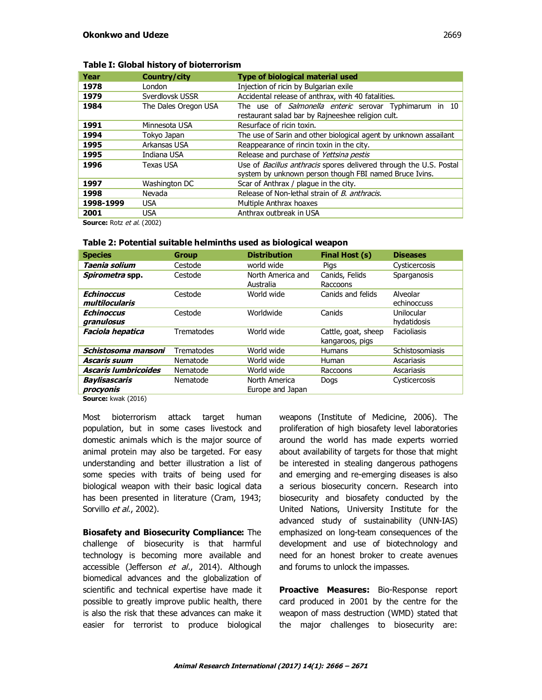| Year      | Country/city         | <b>Type of biological material used</b>                                                                                      |  |  |
|-----------|----------------------|------------------------------------------------------------------------------------------------------------------------------|--|--|
| 1978      | London               | Injection of ricin by Bulgarian exile                                                                                        |  |  |
| 1979      | Sverdlovsk USSR      | Accidental release of anthrax, with 40 fatalities.                                                                           |  |  |
| 1984      | The Dales Oregon USA | The use of <i>Salmonella enteric</i> serovar Typhimarum in 10<br>restaurant salad bar by Rajneeshee religion cult.           |  |  |
| 1991      | Minnesota USA        | Resurface of ricin toxin.                                                                                                    |  |  |
| 1994      | Tokyo Japan          | The use of Sarin and other biological agent by unknown assailant                                                             |  |  |
| 1995      | Arkansas USA         | Reappearance of rincin toxin in the city.                                                                                    |  |  |
| 1995      | Indiana USA          | Release and purchase of Yettsina pestis                                                                                      |  |  |
| 1996      | Texas USA            | Use of Bacillus anthracis spores delivered through the U.S. Postal<br>system by unknown person though FBI named Bruce Ivins. |  |  |
| 1997      | Washington DC        | Scar of Anthrax / plague in the city.                                                                                        |  |  |
| 1998      | Nevada               | Release of Non-lethal strain of <i>B. anthracis.</i>                                                                         |  |  |
| 1998-1999 | <b>USA</b>           | Multiple Anthrax hoaxes                                                                                                      |  |  |
| 2001      | USA                  | Anthrax outbreak in USA                                                                                                      |  |  |

## **Table I: Global history of bioterrorism**

**Source:** Rotz et al. (2002)

## **Table 2: Potential suitable helminths used as biological weapon**

| <b>Species</b>                                     | <b>Group</b> | <b>Distribution</b>               | Final Host (s)                         | <b>Diseases</b>           |
|----------------------------------------------------|--------------|-----------------------------------|----------------------------------------|---------------------------|
| Taenia solium                                      | Cestode      | world wide                        | Pigs                                   | Cysticercosis             |
| Spirometra spp.                                    | Cestode      | North America and<br>Australia    | Canids, Felids<br>Raccoons             | Sparganosis               |
| <b>Echinoccus</b><br>multilocularis                | Cestode      | World wide                        | Canids and felids                      | Alveolar<br>echinoccuss   |
| <b>Echinoccus</b><br>granulosus                    | Cestode      | Worldwide                         | Canids                                 | Unilocular<br>hydatidosis |
| <b>Faciola hepatica</b>                            | Trematodes   | World wide                        | Cattle, goat, sheep<br>kangaroos, pigs | Facioliasis               |
| Schistosoma mansoni                                | Trematodes   | World wide                        | <b>Humans</b>                          | Schistosomiasis           |
| <b>Ascaris suum</b>                                | Nematode     | World wide                        | Human                                  | Ascariasis                |
| <b>Ascaris lumbricoides</b>                        | Nematode     | World wide                        | Raccoons                               | Ascariasis                |
| <b>Baylisascaris</b><br>procyonis<br>$-1$ $(204C)$ | Nematode     | North America<br>Europe and Japan | Dogs                                   | Cysticercosis             |

**Source:** kwak (2016)

Most bioterrorism attack target human population, but in some cases livestock and domestic animals which is the major source of animal protein may also be targeted. For easy understanding and better illustration a list of some species with traits of being used for biological weapon with their basic logical data has been presented in literature (Cram, 1943; Sorvillo et al., 2002).

**Biosafety and Biosecurity Compliance:** The challenge of biosecurity is that harmful technology is becoming more available and accessible (Jefferson et al., 2014). Although biomedical advances and the globalization of scientific and technical expertise have made it possible to greatly improve public health, there is also the risk that these advances can make it easier for terrorist to produce biological

weapons (Institute of Medicine, 2006). The proliferation of high biosafety level laboratories around the world has made experts worried about availability of targets for those that might be interested in stealing dangerous pathogens and emerging and re-emerging diseases is also a serious biosecurity concern. Research into biosecurity and biosafety conducted by the United Nations, University Institute for the advanced study of sustainability (UNN-IAS) emphasized on long-team consequences of the development and use of biotechnology and need for an honest broker to create avenues and forums to unlock the impasses.

**Proactive Measures:** Bio-Response report card produced in 2001 by the centre for the weapon of mass destruction (WMD) stated that the major challenges to biosecurity are: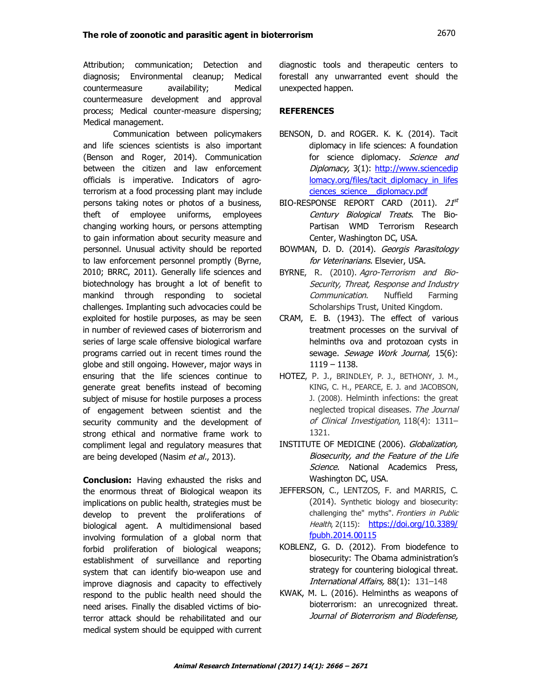Attribution; communication; Detection and diagnosis; Environmental cleanup; Medical countermeasure availability; Medical countermeasure development and approval process; Medical counter-measure dispersing; Medical management.

Communication between policymakers and life sciences scientists is also important (Benson and Roger, 2014). Communication between the citizen and law enforcement officials is imperative. Indicators of agroterrorism at a food processing plant may include persons taking notes or photos of a business, theft of employee uniforms, employees changing working hours, or persons attempting to gain information about security measure and personnel. Unusual activity should be reported to law enforcement personnel promptly (Byrne, 2010; BRRC, 2011). Generally life sciences and biotechnology has brought a lot of benefit to mankind through responding to societal challenges. Implanting such advocacies could be exploited for hostile purposes, as may be seen in number of reviewed cases of bioterrorism and series of large scale offensive biological warfare programs carried out in recent times round the globe and still ongoing. However, major ways in ensuring that the life sciences continue to generate great benefits instead of becoming subject of misuse for hostile purposes a process of engagement between scientist and the security community and the development of strong ethical and normative frame work to compliment legal and regulatory measures that are being developed (Nasim et al., 2013).

**Conclusion:** Having exhausted the risks and the enormous threat of Biological weapon its implications on public health, strategies must be develop to prevent the proliferations of biological agent. A multidimensional based involving formulation of a global norm that forbid proliferation of biological weapons; establishment of surveillance and reporting system that can identify bio-weapon use and improve diagnosis and capacity to effectively respond to the public health need should the need arises. Finally the disabled victims of bioterror attack should be rehabilitated and our medical system should be equipped with current

diagnostic tools and therapeutic centers to forestall any unwarranted event should the unexpected happen.

# **REFERENCES**

- BENSON, D. and ROGER. K. K. (2014). Tacit diplomacy in life sciences: A foundation for science diplomacy. Science and Diplomacy, 3(1): http://www.sciencedip lomacy.org/files/tacit\_diplomacy\_in\_lifes ciences\_science\_\_diplomacy.pdf
- $\text{BIO-RESPONSE}$   $\text{REPORT}$   $\text{CARD}$   $(2011)$ .  $21^\text{st}$ Century Biological Treats. The Bio-Partisan WMD Terrorism Research Center, Washington DC, USA.
- BOWMAN, D. D. (2014). Georgis Parasitology for Veterinarians. Elsevier, USA.
- BYRNE, R. (2010). Agro-Terrorism and Bio-Security, Threat, Response and Industry Communication. Nuffield Farming Scholarships Trust, United Kingdom.
- CRAM, E. B. (1943). The effect of various treatment processes on the survival of helminths ova and protozoan cysts in sewage. Sewage Work Journal, 15(6): 1119 – 1138.
- HOTEZ, P. J., BRINDLEY, P. J., BETHONY, J. M., KING, C. H., PEARCE, E. J. and JACOBSON, J. (2008). Helminth infections: the great neglected tropical diseases. The Journal of Clinical Investigation, 118(4): 1311– 1321.
- INSTITUTE OF MEDICINE (2006). Globalization, Biosecurity, and the Feature of the Life Science. National Academics Press, Washington DC, USA.
- JEFFERSON, C., LENTZOS, F. and MARRIS, C. (2014). Synthetic biology and biosecurity: challenging the" myths". Frontiers in Public Health, 2(115): https://doi.org/10.3389/ fpubh.2014.00115
- KOBLENZ, G. D. (2012). From biodefence to biosecurity: The Obama administration's strategy for countering biological threat. International Affairs, 88(1): 131–148
- KWAK, M. L. (2016). Helminths as weapons of bioterrorism: an unrecognized threat. Journal of Bioterrorism and Biodefense,